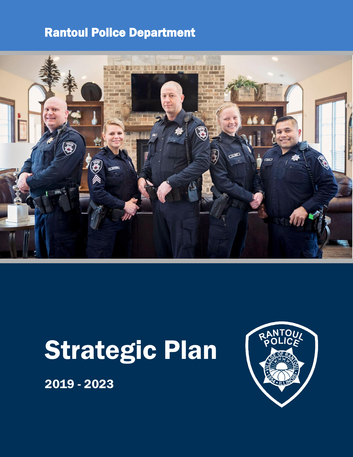### Rantoul Police Department



# Strategic Plan

2019 - 2023

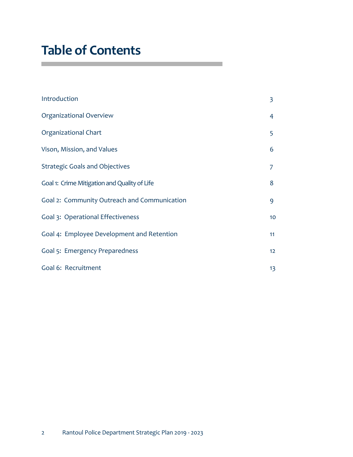### **Table of Contents**

| Introduction                                 | 3  |
|----------------------------------------------|----|
| Organizational Overview                      | 4  |
| Organizational Chart                         | 5  |
| Vison, Mission, and Values                   | 6  |
| <b>Strategic Goals and Objectives</b>        | 7  |
| Goal 1: Crime Mitigation and Quality of Life | 8  |
| Goal 2: Community Outreach and Communication | 9  |
| Goal 3: Operational Effectiveness            | 10 |
| Goal 4: Employee Development and Retention   | 11 |
| Goal 5: Emergency Preparedness               | 12 |
| Goal 6: Recruitment                          | 13 |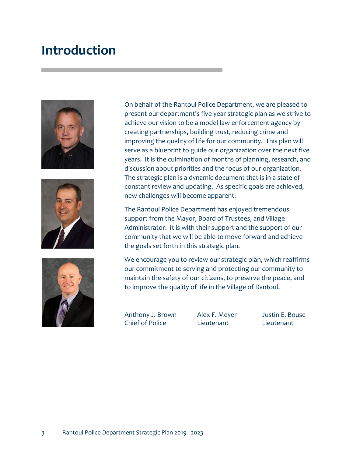### **Introduction**







On behalf of the Rantoul Police Department, we are pleased to present our department's five year strategic plan as we strive to achieve our vision to be a model law enforcement agency by creating partnerships, building trust, reducing crime and improving the quality of life for our community. This plan will serve as a blueprint to guide our organization over the next five years. It is the culmination of months of planning, research, and discussion about priorities and the focus of our organization. The strategic plan is a dynamic document that is in a state of constant review and updating. As specific goals are achieved, new challenges will become apparent.

The Rantoul Police Department has enjoyed tremendous support from the Mayor, Board of Trustees, and Village Administrator. It is with their support and the support of our community that we will be able to move forward and achieve the goals set forth in this strategic plan.

We encourage you to review our strategic plan, which reaffirms our commitment to serving and protecting our community to maintain the safety of our citizens, to preserve the peace, and to improve the quality of life in the Village of Rantoul.

Anthony J. Brown Alex F. Meyer Justin E. Bouse Chief of Police Lieutenant Lieutenant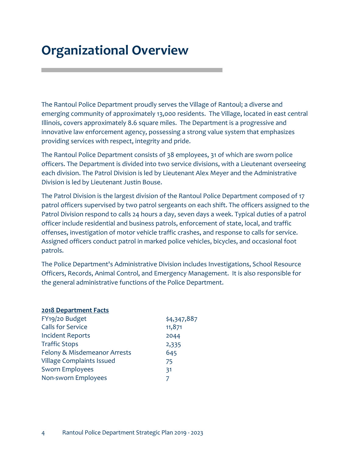# **Organizational Overview**

The Rantoul Police Department proudly serves the Village of Rantoul; a diverse and emerging community of approximately 13,000 residents. The Village, located in east central Illinois, covers approximately 8.6 square miles. The Department is a progressive and innovative law enforcement agency, possessing a strong value system that emphasizes providing services with respect, integrity and pride.

The Rantoul Police Department consists of 38 employees, 31 of which are sworn police officers. The Department is divided into two service divisions, with a Lieutenant overseeing each division. The Patrol Division is led by Lieutenant Alex Meyer and the Administrative Division is led by Lieutenant Justin Bouse.

The Patrol Division is the largest division of the Rantoul Police Department composed of 17 patrol officers supervised by two patrol sergeants on each shift. The officers assigned to the Patrol Division respond to calls 24 hours a day, seven days a week. Typical duties of a patrol officer include residential and business patrols, enforcement of state, local, and traffic offenses, investigation of motor vehicle traffic crashes, and response to calls for service. Assigned officers conduct patrol in marked police vehicles, bicycles, and occasional foot patrols.

The Police Department's Administrative Division includes Investigations, School Resource Officers, Records, Animal Control, and Emergency Management. It is also responsible for the general administrative functions of the Police Department.

#### **2018 Department Facts**

| FY19/20 Budget                   | \$4,347,887 |
|----------------------------------|-------------|
| <b>Calls for Service</b>         | 11,871      |
| <b>Incident Reports</b>          | 2044        |
| <b>Traffic Stops</b>             | 2,335       |
| Felony & Misdemeanor Arrests     | 645         |
| <b>Village Complaints Issued</b> | 75          |
| <b>Sworn Employees</b>           | 31          |
| Non-sworn Employees              | 7           |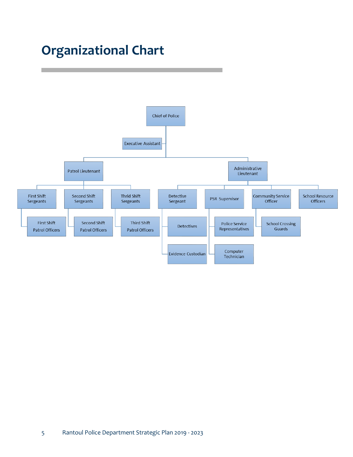# **Organizational Chart**

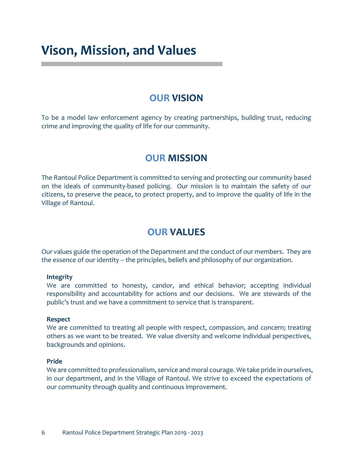### **Vison, Mission, and Values**

### **OUR VISION**

To be a model law enforcement agency by creating partnerships, building trust, reducing crime and improving the quality of life for our community.

### **OUR MISSION**

The Rantoul Police Department is committed to serving and protecting our community based on the ideals of community-based policing. Our mission is to maintain the safety of our citizens, to preserve the peace, to protect property, and to improve the quality of life in the Village of Rantoul.

### **OUR VALUES**

Our values guide the operation of the Department and the conduct of our members. They are the essence of our identity – the principles, beliefs and philosophy of our organization.

#### **Integrity**

We are committed to honesty, candor, and ethical behavior; accepting individual responsibility and accountability for actions and our decisions. We are stewards of the public's trust and we have a commitment to service that is transparent.

### **Respect**

We are committed to treating all people with respect, compassion, and concern; treating others as we want to be treated. We value diversity and welcome individual perspectives, backgrounds and opinions.

### **Pride**

We are committed to professionalism, service and moral courage. We take pride in ourselves, in our department, and in the Village of Rantoul. We strive to exceed the expectations of our community through quality and continuous improvement.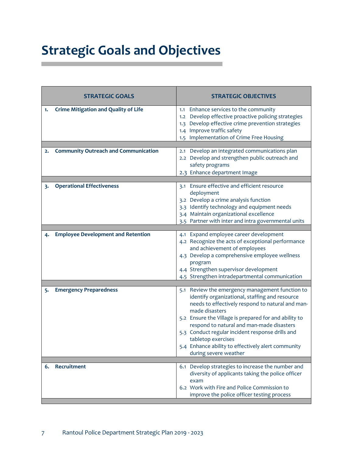# **Strategic Goals and Objectives**

|    | <b>STRATEGIC GOALS</b>                      | <b>STRATEGIC OBJECTIVES</b>                                                                                                                                                                                                                                                                                                                                                                                                            |
|----|---------------------------------------------|----------------------------------------------------------------------------------------------------------------------------------------------------------------------------------------------------------------------------------------------------------------------------------------------------------------------------------------------------------------------------------------------------------------------------------------|
| 1. | <b>Crime Mitigation and Quality of Life</b> | 1.1 Enhance services to the community<br>1.2 Develop effective proactive policing strategies<br>1.3 Develop effective crime prevention strategies<br>1.4 Improve traffic safety<br>1.5 Implementation of Crime Free Housing                                                                                                                                                                                                            |
| 2. | <b>Community Outreach and Communication</b> | Develop an integrated communications plan<br>2.1<br>2.2 Develop and strengthen public outreach and<br>safety programs<br>2.3 Enhance department Image                                                                                                                                                                                                                                                                                  |
| 3. | <b>Operational Effectiveness</b>            | 3.1 Ensure effective and efficient resource<br>deployment<br>3.2 Develop a crime analysis function<br>3.3 Identify technology and equipment needs<br>3.4 Maintain organizational excellence<br>3.5 Partner with inter and intra governmental units                                                                                                                                                                                     |
| 4. | <b>Employee Development and Retention</b>   | 4.1 Expand employee career development<br>4.2 Recognize the acts of exceptional performance<br>and achievement of employees<br>4.3 Develop a comprehensive employee wellness<br>program<br>4.4 Strengthen supervisor development<br>4.5 Strengthen intradepartmental communication                                                                                                                                                     |
| 5. | <b>Emergency Preparedness</b>               | 5.1 Review the emergency management function to<br>identify organizational, staffing and resource<br>needs to effectively respond to natural and man-<br>made disasters<br>5.2 Ensure the Village is prepared for and ability to<br>respond to natural and man-made disasters<br>5.3 Conduct regular incident response drills and<br>tabletop exercises<br>5.4 Enhance ability to effectively alert community<br>during severe weather |
| 6. | Recruitment                                 | 6.1 Develop strategies to increase the number and<br>diversity of applicants taking the police officer<br>exam<br>6.2 Work with Fire and Police Commission to<br>improve the police officer testing process                                                                                                                                                                                                                            |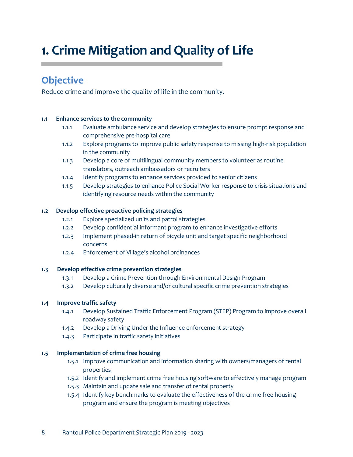# **1. Crime Mitigation and Quality of Life**

### **Objective**

Reduce crime and improve the quality of life in the community.

### **1.1 Enhance services to the community**

- 1.1.1 Evaluate ambulance service and develop strategies to ensure prompt response and comprehensive pre-hospital care
- 1.1.2 Explore programs to improve public safety response to missing high-risk population in the community
- 1.1.3 Develop a core of multilingual community members to volunteer as routine translators, outreach ambassadors or recruiters
- 1.1.4 Identify programs to enhance services provided to senior citizens
- 1.1.5 Develop strategies to enhance Police Social Worker response to crisis situations and identifying resource needs within the community

### **1.2 Develop effective proactive policing strategies**

- 1.2.1 Explore specialized units and patrol strategies
- 1.2.2 Develop confidential informant program to enhance investigative efforts
- 1.2.3 Implement phased-in return of bicycle unit and target specific neighborhood concerns
- 1.2.4 Enforcement of Village's alcohol ordinances

### **1.3 Develop effective crime prevention strategies**

- 1.3.1 Develop a Crime Prevention through Environmental Design Program
- 1.3.2 Develop culturally diverse and/or cultural specific crime prevention strategies

### **1.4 Improve traffic safety**

- 1.4.1 Develop Sustained Traffic Enforcement Program (STEP) Program to improve overall roadway safety
- 1.4.2 Develop a Driving Under the Influence enforcement strategy
- 1.4.3 Participate in traffic safety initiatives

#### **1.5 Implementation of crime free housing**

- 1.5.1 Improve communication and information sharing with owners/managers of rental properties
- 1.5.2 Identify and implement crime free housing software to effectively manage program
- 1.5.3 Maintain and update sale and transfer of rental property
- 1.5.4 Identify key benchmarks to evaluate the effectiveness of the crime free housing program and ensure the program is meeting objectives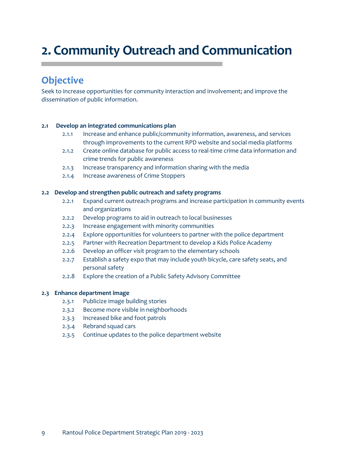# **2. Community Outreach and Communication**

### **Objective**

Seek to increase opportunities for community interaction and involvement; and improve the dissemination of public information.

### **2.1 Develop an integrated communications plan**

- 2.1.1 Increase and enhance public/community information, awareness, and services through improvements to the current RPD website and social media platforms
- 2.1.2 Create online database for public access to real-time crime data information and crime trends for public awareness
- 2.1.3 Increase transparency and information sharing with the media
- 2.1.4 Increase awareness of Crime Stoppers

### **2.2 Develop and strengthen public outreach and safety programs**

- 2.2.1 Expand current outreach programs and increase participation in community events and organizations
- 2.2.2 Develop programs to aid in outreach to local businesses
- 2.2.3 Increase engagement with minority communities
- 2.2.4 Explore opportunities for volunteers to partner with the police department
- 2.2.5 Partner with Recreation Department to develop a Kids Police Academy
- 2.2.6 Develop an officer visit program to the elementary schools
- 2.2.7 Establish a safety expo that may include youth bicycle, care safety seats, and personal safety
- 2.2.8 Explore the creation of a Public Safety Advisory Committee

#### **2.3 Enhance department image**

- 2.3.1 Publicize image building stories
- 2.3.2 Become more visible in neighborhoods
- 2.3.3 Increased bike and foot patrols
- 2.3.4 Rebrand squad cars
- 2.3.5 Continue updates to the police department website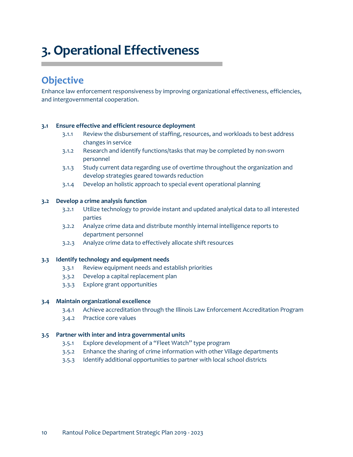# **3. Operational Effectiveness**

### **Objective**

Enhance law enforcement responsiveness by improving organizational effectiveness, efficiencies, and intergovernmental cooperation.

#### **3.1 Ensure effective and efficient resource deployment**

- 3.1.1 Review the disbursement of staffing, resources, and workloads to best address changes in service
- 3.1.2 Research and identify functions/tasks that may be completed by non-sworn personnel
- 3.1.3 Study current data regarding use of overtime throughout the organization and develop strategies geared towards reduction
- 3.1.4 Develop an holistic approach to special event operational planning

#### **3.2 Develop a crime analysis function**

- 3.2.1 Utilize technology to provide instant and updated analytical data to all interested parties
- 3.2.2 Analyze crime data and distribute monthly internal intelligence reports to department personnel
- 3.2.3 Analyze crime data to effectively allocate shift resources

#### **3.3 Identify technology and equipment needs**

- 3.3.1 Review equipment needs and establish priorities
- 3.3.2 Develop a capital replacement plan
- 3.3.3 Explore grant opportunities

#### **3.4 Maintain organizational excellence**

- 3.4.1 Achieve accreditation through the Illinois Law Enforcement Accreditation Program
- 3.4.2 Practice core values

#### **3.5 Partner with inter and intra governmental units**

- 3.5.1 Explore development of a "Fleet Watch" type program
- 3.5.2 Enhance the sharing of crime information with other Village departments
- 3.5.3 Identify additional opportunities to partner with local school districts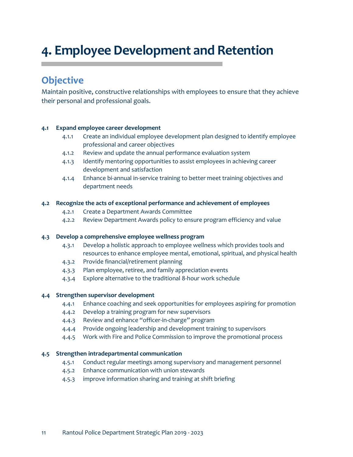# **4. Employee Development and Retention**

### **Objective**

Maintain positive, constructive relationships with employees to ensure that they achieve their personal and professional goals.

### **4.1 Expand employee career development**

- 4.1.1 Create an individual employee development plan designed to identify employee professional and career objectives
- 4.1.2 Review and update the annual performance evaluation system
- 4.1.3 Identify mentoring opportunities to assist employees in achieving career development and satisfaction
- 4.1.4 Enhance bi-annual in-service training to better meet training objectives and department needs

### **4.2 Recognize the acts of exceptional performance and achievement of employees**

- 4.2.1 Create a Department Awards Committee
- 4.2.2 Review Department Awards policy to ensure program efficiency and value

#### **4.3 Develop a comprehensive employee wellness program**

- 4.3.1 Develop a holistic approach to employee wellness which provides tools and resources to enhance employee mental, emotional, spiritual, and physical health
- 4.3.2 Provide financial/retirement planning
- 4.3.3 Plan employee, retiree, and family appreciation events
- 4.3.4 Explore alternative to the traditional 8-hour work schedule

#### **4.4 Strengthen supervisor development**

- 4.4.1 Enhance coaching and seek opportunities for employees aspiring for promotion
- 4.4.2 Develop a training program for new supervisors
- 4.4.3 Review and enhance "officer-in-charge" program
- 4.4.4 Provide ongoing leadership and development training to supervisors
- 4.4.5 Work with Fire and Police Commission to improve the promotional process

#### **4.5 Strengthen intradepartmental communication**

- 4.5.1 Conduct regular meetings among supervisory and management personnel
- 4.5.2 Enhance communication with union stewards
- 4.5.3 improve information sharing and training at shift briefing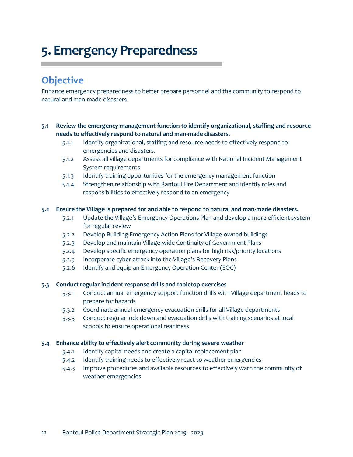# **5. Emergency Preparedness**

### **Objective**

Enhance emergency preparedness to better prepare personnel and the community to respond to natural and man-made disasters.

### **5.1 Review the emergency management function to identify organizational, staffing and resource needs to effectively respond to natural and man-made disasters.**

- 5.1.1 Identify organizational, staffing and resource needs to effectively respond to emergencies and disasters.
- 5.1.2 Assess all village departments for compliance with National Incident Management System requirements
- 5.1.3 Identify training opportunities for the emergency management function
- 5.1.4 Strengthen relationship with Rantoul Fire Department and identify roles and responsibilities to effectively respond to an emergency

### **5.2 Ensure the Village is prepared for and able to respond to natural and man-made disasters.**

- 5.2.1 Update the Village's Emergency Operations Plan and develop a more efficient system for regular review
- 5.2.2 Develop Building Emergency Action Plans for Village-owned buildings
- 5.2.3 Develop and maintain Village-wide Continuity of Government Plans
- 5.2.4 Develop specific emergency operation plans for high risk/priority locations
- 5.2.5 Incorporate cyber-attack into the Village's Recovery Plans
- 5.2.6 Identify and equip an Emergency Operation Center (EOC)

### **5.3 Conduct regular incident response drills and tabletop exercises**

- 5.3.1 Conduct annual emergency support function drills with Village department heads to prepare for hazards
- 5.3.2 Coordinate annual emergency evacuation drills for all Village departments
- 5.3.3 Conduct regular lock down and evacuation drills with training scenarios at local schools to ensure operational readiness

#### **5.4 Enhance ability to effectively alert community during severe weather**

- 5.4.1 Identify capital needs and create a capital replacement plan
- 5.4.2 Identify training needs to effectively react to weather emergencies
- 5.4.3 Improve procedures and available resources to effectively warn the community of weather emergencies